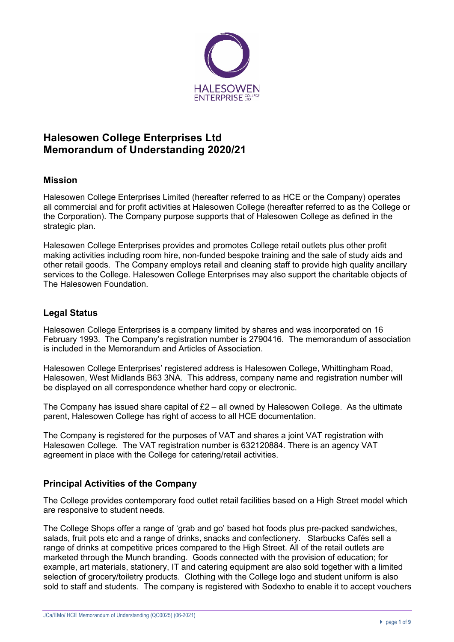

# **Halesowen College Enterprises Ltd Memorandum of Understanding 2020/21**

# **Mission**

Halesowen College Enterprises Limited (hereafter referred to as HCE or the Company) operates all commercial and for profit activities at Halesowen College (hereafter referred to as the College or the Corporation). The Company purpose supports that of Halesowen College as defined in the strategic plan.

Halesowen College Enterprises provides and promotes College retail outlets plus other profit making activities including room hire, non-funded bespoke training and the sale of study aids and other retail goods. The Company employs retail and cleaning staff to provide high quality ancillary services to the College. Halesowen College Enterprises may also support the charitable objects of The Halesowen Foundation.

# **Legal Status**

Halesowen College Enterprises is a company limited by shares and was incorporated on 16 February 1993. The Company's registration number is 2790416. The memorandum of association is included in the Memorandum and Articles of Association.

Halesowen College Enterprises' registered address is Halesowen College, Whittingham Road, Halesowen, West Midlands B63 3NA. This address, company name and registration number will be displayed on all correspondence whether hard copy or electronic.

The Company has issued share capital of  $E2 -$  all owned by Halesowen College. As the ultimate parent, Halesowen College has right of access to all HCE documentation.

The Company is registered for the purposes of VAT and shares a joint VAT registration with Halesowen College. The VAT registration number is 632120884. There is an agency VAT agreement in place with the College for catering/retail activities.

# **Principal Activities of the Company**

The College provides contemporary food outlet retail facilities based on a High Street model which are responsive to student needs.

The College Shops offer a range of 'grab and go' based hot foods plus pre-packed sandwiches, salads, fruit pots etc and a range of drinks, snacks and confectionery. Starbucks Cafés sell a range of drinks at competitive prices compared to the High Street. All of the retail outlets are marketed through the Munch branding. Goods connected with the provision of education; for example, art materials, stationery, IT and catering equipment are also sold together with a limited selection of grocery/toiletry products. Clothing with the College logo and student uniform is also sold to staff and students. The company is registered with Sodexho to enable it to accept vouchers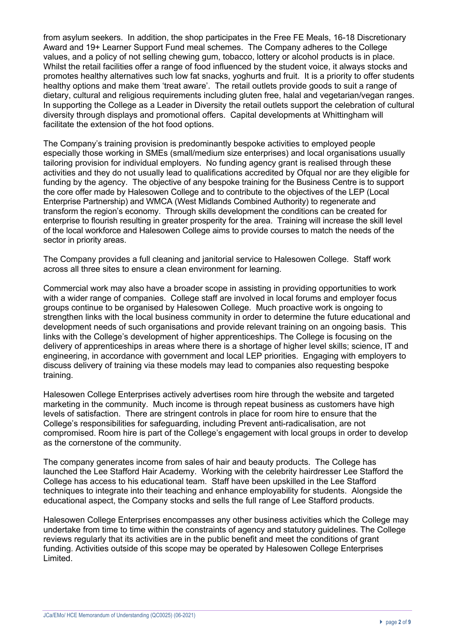from asylum seekers. In addition, the shop participates in the Free FE Meals, 16-18 Discretionary Award and 19+ Learner Support Fund meal schemes. The Company adheres to the College values, and a policy of not selling chewing gum, tobacco, lottery or alcohol products is in place. Whilst the retail facilities offer a range of food influenced by the student voice, it always stocks and promotes healthy alternatives such low fat snacks, yoghurts and fruit. It is a priority to offer students healthy options and make them 'treat aware'. The retail outlets provide goods to suit a range of dietary, cultural and religious requirements including gluten free, halal and vegetarian/vegan ranges. In supporting the College as a Leader in Diversity the retail outlets support the celebration of cultural diversity through displays and promotional offers. Capital developments at Whittingham will facilitate the extension of the hot food options.

The Company's training provision is predominantly bespoke activities to employed people especially those working in SMEs (small/medium size enterprises) and local organisations usually tailoring provision for individual employers. No funding agency grant is realised through these activities and they do not usually lead to qualifications accredited by Ofqual nor are they eligible for funding by the agency. The objective of any bespoke training for the Business Centre is to support the core offer made by Halesowen College and to contribute to the objectives of the LEP (Local Enterprise Partnership) and WMCA (West Midlands Combined Authority) to regenerate and transform the region's economy. Through skills development the conditions can be created for enterprise to flourish resulting in greater prosperity for the area. Training will increase the skill level of the local workforce and Halesowen College aims to provide courses to match the needs of the sector in priority areas.

The Company provides a full cleaning and janitorial service to Halesowen College. Staff work across all three sites to ensure a clean environment for learning.

Commercial work may also have a broader scope in assisting in providing opportunities to work with a wider range of companies. College staff are involved in local forums and employer focus groups continue to be organised by Halesowen College. Much proactive work is ongoing to strengthen links with the local business community in order to determine the future educational and development needs of such organisations and provide relevant training on an ongoing basis. This links with the College's development of higher apprenticeships. The College is focusing on the delivery of apprenticeships in areas where there is a shortage of higher level skills; science, IT and engineering, in accordance with government and local LEP priorities. Engaging with employers to discuss delivery of training via these models may lead to companies also requesting bespoke training.

Halesowen College Enterprises actively advertises room hire through the website and targeted marketing in the community. Much income is through repeat business as customers have high levels of satisfaction. There are stringent controls in place for room hire to ensure that the College's responsibilities for safeguarding, including Prevent anti-radicalisation, are not compromised. Room hire is part of the College's engagement with local groups in order to develop as the cornerstone of the community.

The company generates income from sales of hair and beauty products. The College has launched the Lee Stafford Hair Academy. Working with the celebrity hairdresser Lee Stafford the College has access to his educational team. Staff have been upskilled in the Lee Stafford techniques to integrate into their teaching and enhance employability for students. Alongside the educational aspect, the Company stocks and sells the full range of Lee Stafford products.

Halesowen College Enterprises encompasses any other business activities which the College may undertake from time to time within the constraints of agency and statutory guidelines. The College reviews regularly that its activities are in the public benefit and meet the conditions of grant funding. Activities outside of this scope may be operated by Halesowen College Enterprises Limited.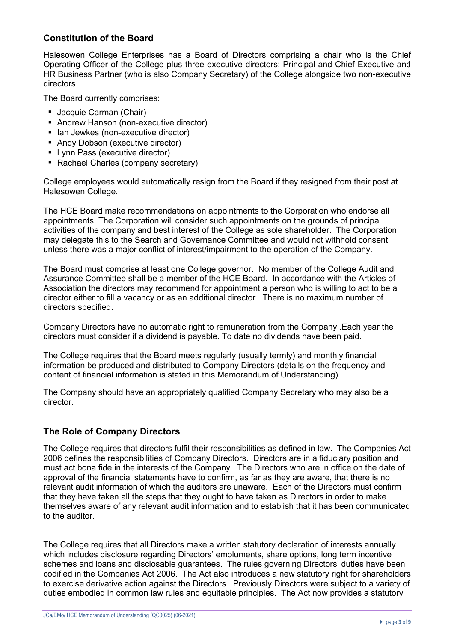# **Constitution of the Board**

Halesowen College Enterprises has a Board of Directors comprising a chair who is the Chief Operating Officer of the College plus three executive directors: Principal and Chief Executive and HR Business Partner (who is also Company Secretary) of the College alongside two non-executive directors.

The Board currently comprises:

- Jacquie Carman (Chair)
- Andrew Hanson (non-executive director)
- Ian Jewkes (non-executive director)
- Andy Dobson (executive director)
- Lynn Pass (executive director)
- Rachael Charles (company secretary)

College employees would automatically resign from the Board if they resigned from their post at Halesowen College.

The HCE Board make recommendations on appointments to the Corporation who endorse all appointments. The Corporation will consider such appointments on the grounds of principal activities of the company and best interest of the College as sole shareholder. The Corporation may delegate this to the Search and Governance Committee and would not withhold consent unless there was a major conflict of interest/impairment to the operation of the Company.

The Board must comprise at least one College governor. No member of the College Audit and Assurance Committee shall be a member of the HCE Board. In accordance with the Articles of Association the directors may recommend for appointment a person who is willing to act to be a director either to fill a vacancy or as an additional director. There is no maximum number of directors specified.

Company Directors have no automatic right to remuneration from the Company .Each year the directors must consider if a dividend is payable. To date no dividends have been paid.

The College requires that the Board meets regularly (usually termly) and monthly financial information be produced and distributed to Company Directors (details on the frequency and content of financial information is stated in this Memorandum of Understanding).

The Company should have an appropriately qualified Company Secretary who may also be a director.

# **The Role of Company Directors**

The College requires that directors fulfil their responsibilities as defined in law. The Companies Act 2006 defines the responsibilities of Company Directors. Directors are in a fiduciary position and must act bona fide in the interests of the Company. The Directors who are in office on the date of approval of the financial statements have to confirm, as far as they are aware, that there is no relevant audit information of which the auditors are unaware. Each of the Directors must confirm that they have taken all the steps that they ought to have taken as Directors in order to make themselves aware of any relevant audit information and to establish that it has been communicated to the auditor.

The College requires that all Directors make a written statutory declaration of interests annually which includes disclosure regarding Directors' emoluments, share options, long term incentive schemes and loans and disclosable guarantees. The rules governing Directors' duties have been codified in the Companies Act 2006. The Act also introduces a new statutory right for shareholders to exercise derivative action against the Directors. Previously Directors were subject to a variety of duties embodied in common law rules and equitable principles. The Act now provides a statutory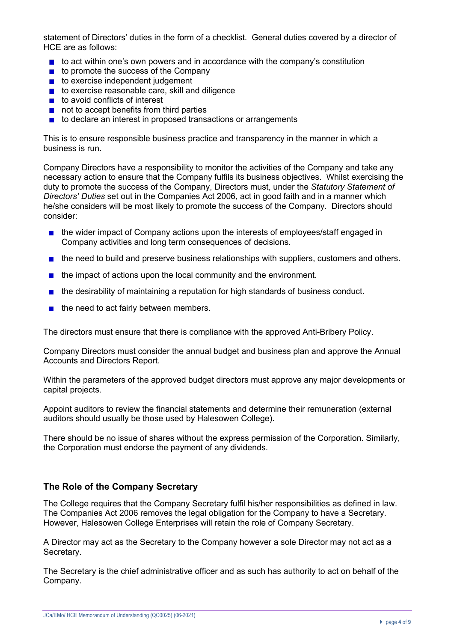statement of Directors' duties in the form of a checklist. General duties covered by a director of HCE are as follows:

- to act within one's own powers and in accordance with the company's constitution
- $\blacksquare$  to promote the success of the Company
- to exercise independent judgement
- $\blacksquare$  to exercise reasonable care, skill and diligence
- $\blacksquare$  to avoid conflicts of interest
- not to accept benefits from third parties
- $\blacksquare$  to declare an interest in proposed transactions or arrangements

This is to ensure responsible business practice and transparency in the manner in which a business is run.

Company Directors have a responsibility to monitor the activities of the Company and take any necessary action to ensure that the Company fulfils its business objectives. Whilst exercising the duty to promote the success of the Company, Directors must, under the *Statutory Statement of Directors' Duties* set out in the Companies Act 2006, act in good faith and in a manner which he/she considers will be most likely to promote the success of the Company. Directors should consider:

- **the wider impact of Company actions upon the interests of employees/staff engaged in** Company activities and long term consequences of decisions.
- $\blacksquare$  the need to build and preserve business relationships with suppliers, customers and others.
- $\blacksquare$  the impact of actions upon the local community and the environment.
- $\blacksquare$  the desirability of maintaining a reputation for high standards of business conduct.
- $\blacksquare$  the need to act fairly between members.

The directors must ensure that there is compliance with the approved Anti-Bribery Policy.

Company Directors must consider the annual budget and business plan and approve the Annual Accounts and Directors Report.

Within the parameters of the approved budget directors must approve any major developments or capital projects.

Appoint auditors to review the financial statements and determine their remuneration (external auditors should usually be those used by Halesowen College).

There should be no issue of shares without the express permission of the Corporation. Similarly, the Corporation must endorse the payment of any dividends.

#### **The Role of the Company Secretary**

The College requires that the Company Secretary fulfil his/her responsibilities as defined in law. The Companies Act 2006 removes the legal obligation for the Company to have a Secretary. However, Halesowen College Enterprises will retain the role of Company Secretary.

A Director may act as the Secretary to the Company however a sole Director may not act as a Secretary.

The Secretary is the chief administrative officer and as such has authority to act on behalf of the Company.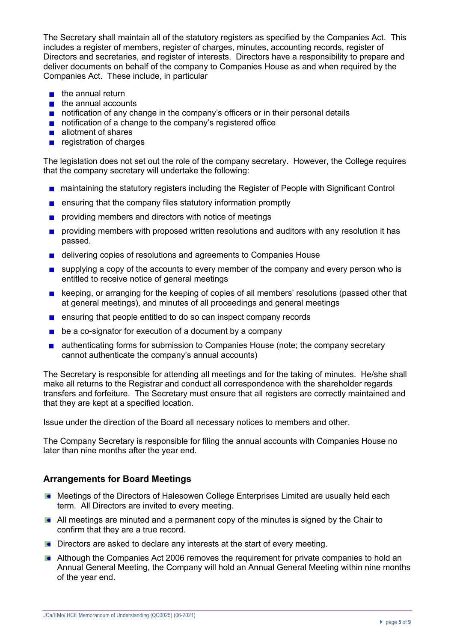The Secretary shall maintain all of the statutory registers as specified by the Companies Act. This includes a register of members, register of charges, minutes, accounting records, register of Directors and secretaries, and register of interests. Directors have a responsibility to prepare and deliver documents on behalf of the company to Companies House as and when required by the Companies Act. These include, in particular

- $\blacksquare$  the annual return
- $\blacksquare$  the annual accounts
- notification of any change in the company's officers or in their personal details
- notification of a change to the company's registered office
- allotment of shares
- $\blacksquare$  registration of charges

The legislation does not set out the role of the company secretary. However, the College requires that the company secretary will undertake the following:

- maintaining the statutory registers including the Register of People with Significant Control
- **E** ensuring that the company files statutory information promptly
- **providing members and directors with notice of meetings**
- **providing members with proposed written resolutions and auditors with any resolution it has** passed.
- delivering copies of resolutions and agreements to Companies House
- **E** supplying a copy of the accounts to every member of the company and every person who is entitled to receive notice of general meetings
- **EXECTED** keeping, or arranging for the keeping of copies of all members' resolutions (passed other that at general meetings), and minutes of all proceedings and general meetings
- **E** ensuring that people entitled to do so can inspect company records
- $\Box$  be a co-signator for execution of a document by a company
- authenticating forms for submission to Companies House (note; the company secretary cannot authenticate the company's annual accounts)

The Secretary is responsible for attending all meetings and for the taking of minutes. He/she shall make all returns to the Registrar and conduct all correspondence with the shareholder regards transfers and forfeiture. The Secretary must ensure that all registers are correctly maintained and that they are kept at a specified location.

Issue under the direction of the Board all necessary notices to members and other.

The Company Secretary is responsible for filing the annual accounts with Companies House no later than nine months after the year end.

#### **Arrangements for Board Meetings**

- **Meetings of the Directors of Halesowen College Enterprises Limited are usually held each** term. All Directors are invited to every meeting.
- All meetings are minuted and a permanent copy of the minutes is signed by the Chair to confirm that they are a true record.
- **Directors are asked to declare any interests at the start of every meeting.**
- **Although the Companies Act 2006 removes the requirement for private companies to hold an** Annual General Meeting, the Company will hold an Annual General Meeting within nine months of the year end.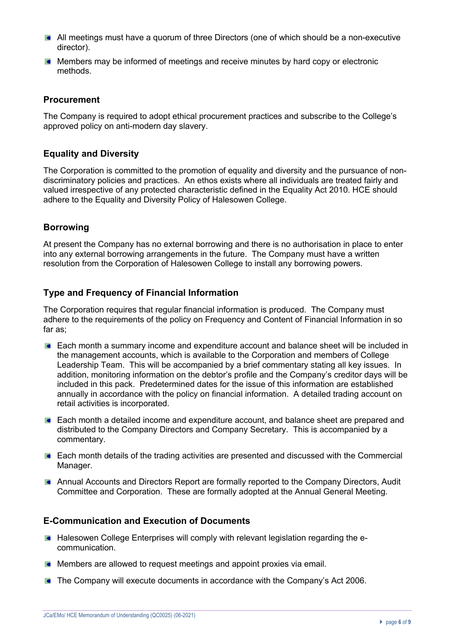- All meetings must have a quorum of three Directors (one of which should be a non-executive director).
- **Members may be informed of meetings and receive minutes by hard copy or electronic** methods.

## **Procurement**

The Company is required to adopt ethical procurement practices and subscribe to the College's approved policy on anti-modern day slavery.

## **Equality and Diversity**

The Corporation is committed to the promotion of equality and diversity and the pursuance of nondiscriminatory policies and practices. An ethos exists where all individuals are treated fairly and valued irrespective of any protected characteristic defined in the Equality Act 2010. HCE should adhere to the Equality and Diversity Policy of Halesowen College.

## **Borrowing**

At present the Company has no external borrowing and there is no authorisation in place to enter into any external borrowing arrangements in the future. The Company must have a written resolution from the Corporation of Halesowen College to install any borrowing powers.

## **Type and Frequency of Financial Information**

The Corporation requires that regular financial information is produced. The Company must adhere to the requirements of the policy on Frequency and Content of Financial Information in so far as;

- **Each month a summary income and expenditure account and balance sheet will be included in** the management accounts, which is available to the Corporation and members of College Leadership Team. This will be accompanied by a brief commentary stating all key issues. In addition, monitoring information on the debtor's profile and the Company's creditor days will be included in this pack. Predetermined dates for the issue of this information are established annually in accordance with the policy on financial information. A detailed trading account on retail activities is incorporated.
- **Each month a detailed income and expenditure account, and balance sheet are prepared and** distributed to the Company Directors and Company Secretary. This is accompanied by a commentary.
- Each month details of the trading activities are presented and discussed with the Commercial Manager.
- Annual Accounts and Directors Report are formally reported to the Company Directors, Audit Committee and Corporation. These are formally adopted at the Annual General Meeting.

#### **E-Communication and Execution of Documents**

- **Halesowen College Enterprises will comply with relevant legislation regarding the e**communication.
- **Members are allowed to request meetings and appoint proxies via email.**
- **The Company will execute documents in accordance with the Company's Act 2006.**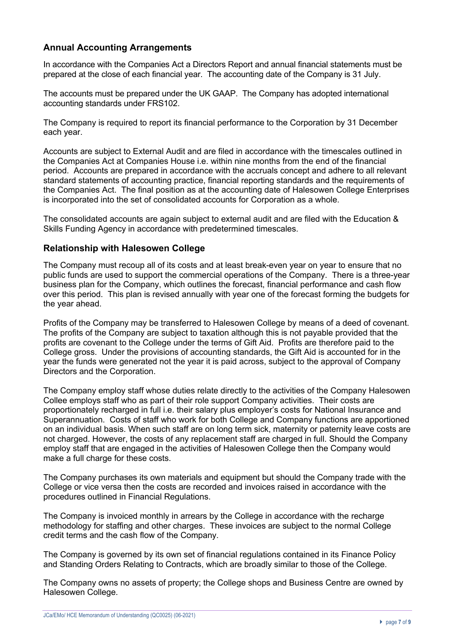# **Annual Accounting Arrangements**

In accordance with the Companies Act a Directors Report and annual financial statements must be prepared at the close of each financial year. The accounting date of the Company is 31 July.

The accounts must be prepared under the UK GAAP. The Company has adopted international accounting standards under FRS102.

The Company is required to report its financial performance to the Corporation by 31 December each year.

Accounts are subject to External Audit and are filed in accordance with the timescales outlined in the Companies Act at Companies House i.e. within nine months from the end of the financial period. Accounts are prepared in accordance with the accruals concept and adhere to all relevant standard statements of accounting practice, financial reporting standards and the requirements of the Companies Act. The final position as at the accounting date of Halesowen College Enterprises is incorporated into the set of consolidated accounts for Corporation as a whole.

The consolidated accounts are again subject to external audit and are filed with the Education & Skills Funding Agency in accordance with predetermined timescales.

#### **Relationship with Halesowen College**

The Company must recoup all of its costs and at least break-even year on year to ensure that no public funds are used to support the commercial operations of the Company. There is a three-year business plan for the Company, which outlines the forecast, financial performance and cash flow over this period. This plan is revised annually with year one of the forecast forming the budgets for the year ahead.

Profits of the Company may be transferred to Halesowen College by means of a deed of covenant. The profits of the Company are subject to taxation although this is not payable provided that the profits are covenant to the College under the terms of Gift Aid. Profits are therefore paid to the College gross. Under the provisions of accounting standards, the Gift Aid is accounted for in the year the funds were generated not the year it is paid across, subject to the approval of Company Directors and the Corporation.

The Company employ staff whose duties relate directly to the activities of the Company Halesowen Collee employs staff who as part of their role support Company activities. Their costs are proportionately recharged in full i.e. their salary plus employer's costs for National Insurance and Superannuation. Costs of staff who work for both College and Company functions are apportioned on an individual basis. When such staff are on long term sick, maternity or paternity leave costs are not charged. However, the costs of any replacement staff are charged in full. Should the Company employ staff that are engaged in the activities of Halesowen College then the Company would make a full charge for these costs.

The Company purchases its own materials and equipment but should the Company trade with the College or vice versa then the costs are recorded and invoices raised in accordance with the procedures outlined in Financial Regulations.

The Company is invoiced monthly in arrears by the College in accordance with the recharge methodology for staffing and other charges. These invoices are subject to the normal College credit terms and the cash flow of the Company.

The Company is governed by its own set of financial regulations contained in its Finance Policy and Standing Orders Relating to Contracts, which are broadly similar to those of the College.

The Company owns no assets of property; the College shops and Business Centre are owned by Halesowen College.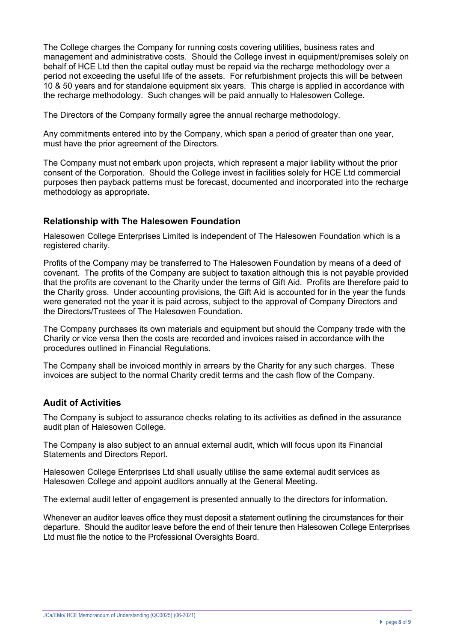The College charges the Company for running costs covering utilities, business rates and management and administrative costs. Should the College invest in equipment/premises solely on behalf of HCE Ltd then the capital outlay must be repaid via the recharge methodology over a period not exceeding the useful life of the assets. For refurbishment projects this will be between 10 & 50 years and for standalone equipment six years. This charge is applied in accordance with the recharge methodology. Such changes will be paid annually to Halesowen College.

The Directors of the Company formally agree the annual recharge methodology.

Any commitments entered into by the Company, which span a period of greater than one year, must have the prior agreement of the Directors.

The Company must not embark upon projects, which represent a major liability without the prior consent of the Corporation.Should the College invest in facilities solely for HCE Ltd commercial purposes then payback patterns must be forecast, documented and incorporated into the recharge methodology as appropriate.

## **Relationship with The Halesowen Foundation**

Halesowen College Enterprises Limited is independent of The Halesowen Foundation which is a registered charity.

Profits of the Company may be transferred to The Halesowen Foundation by means of a deed of covenant. The profits of the Company are subject to taxation although this is not payable provided that the profits are covenant to the Charity under the terms of Gift Aid. Profits are therefore paid to the Charity gross. Under accounting provisions, the Gift Aid is accounted for in the year the funds were generated not the year it is paid across, subject to the approval of Company Directors and the Directors/Trustees of The Halesowen Foundation.

The Company purchases its own materials and equipment but should the Company trade with the Charity or vice versa then the costs are recorded and invoices raised in accordance with the procedures outlined in Financial Regulations.

The Company shall be invoiced monthly in arrears by the Charity for any such charges. These invoices are subject to the normal Charity credit terms and the cash flow of the Company.

#### **Audit of Activities**

The Company is subject to assurance checks relating to its activities as defined in the assurance audit plan of Halesowen College.

The Company is also subject to an annual external audit, which will focus upon its Financial Statements and Directors Report.

Halesowen College Enterprises Ltd shall usually utilise the same external audit services as Halesowen College and appoint auditors annually at the General Meeting.

The external audit letter of engagement is presented annually to the directors for information.

Whenever an auditor leaves office they must deposit a statement outlining the circumstances for their departure. Should the auditor leave before the end of their tenure then Halesowen College Enterprises Ltd must file the notice to the Professional Oversights Board.